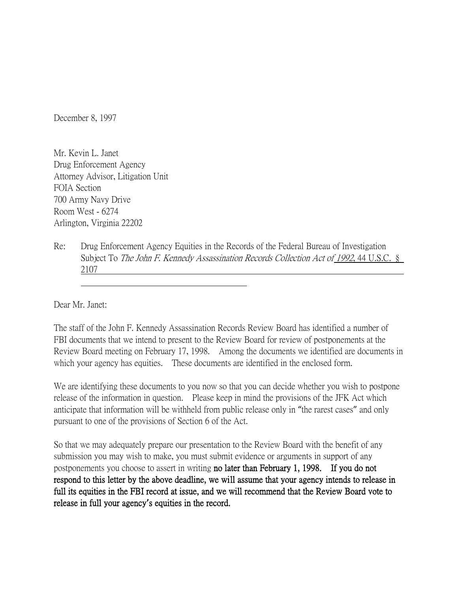December 8, 1997

Mr. Kevin L. Janet Drug Enforcement Agency Attorney Advisor, Litigation Unit FOIA Section 700 Army Navy Drive Room West - 6274 Arlington, Virginia 22202

Re: Drug Enforcement Agency Equities in the Records of the Federal Bureau of Investigation Subject To *The John F. Kennedy Assassination Records Collection Act of 1992*, 44 U.S.C. § 2107

Dear Mr. Janet:

The staff of the John F. Kennedy Assassination Records Review Board has identified a number of FBI documents that we intend to present to the Review Board for review of postponements at the Review Board meeting on February 17, 1998. Among the documents we identified are documents in which your agency has equities. These documents are identified in the enclosed form.

We are identifying these documents to you now so that you can decide whether you wish to postpone release of the information in question. Please keep in mind the provisions of the JFK Act which anticipate that information will be withheld from public release only in "the rarest cases" and only pursuant to one of the provisions of Section 6 of the Act.

So that we may adequately prepare our presentation to the Review Board with the benefit of any submission you may wish to make, you must submit evidence or arguments in support of any postponements you choose to assert in writing no later than February 1, 1998. If you do not respond to this letter by the above deadline, we will assume that your agency intends to release in full its equities in the FBI record at issue, and we will recommend that the Review Board vote to release in full your agency**'**s equities in the record.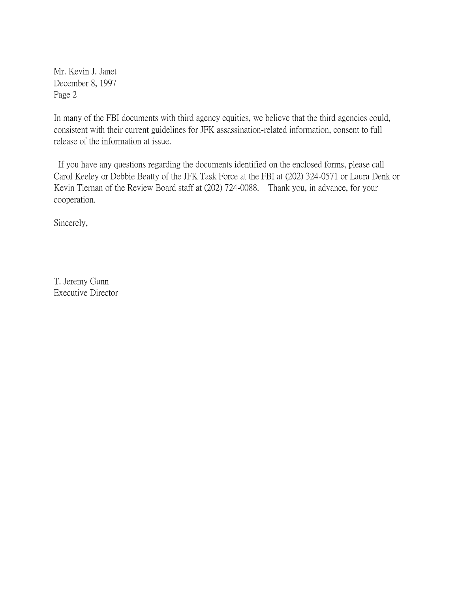Mr. Kevin J. Janet December 8, 1997 Page 2

In many of the FBI documents with third agency equities, we believe that the third agencies could, consistent with their current guidelines for JFK assassination-related information, consent to full release of the information at issue.

If you have any questions regarding the documents identified on the enclosed forms, please call Carol Keeley or Debbie Beatty of the JFK Task Force at the FBI at (202) 324-0571 or Laura Denk or Kevin Tiernan of the Review Board staff at (202) 724-0088. Thank you, in advance, for your cooperation.

Sincerely,

T. Jeremy Gunn Executive Director